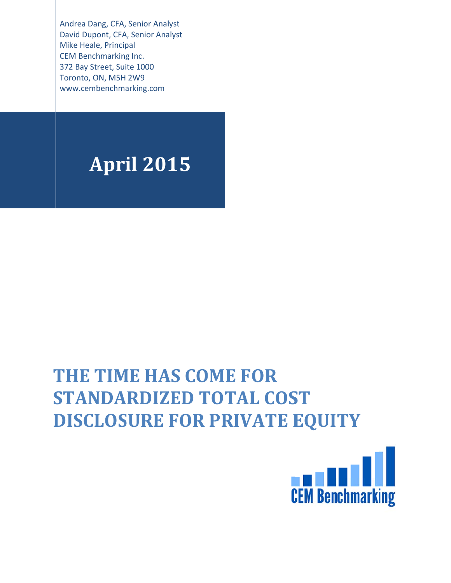Andrea Dang, CFA, Senior Analyst David Dupont, CFA, Senior Analyst Mike Heale, Principal **CEM Benchmarking Inc.** 372 Bay Street, Suite 1000 Toronto, ON, M5H 2W9 www.cembenchmarking.com

# **April 2015**

# THE TIME HAS COME FOR **STANDARDIZED TOTAL COST DISCLOSURE FOR PRIVATE EQUITY**

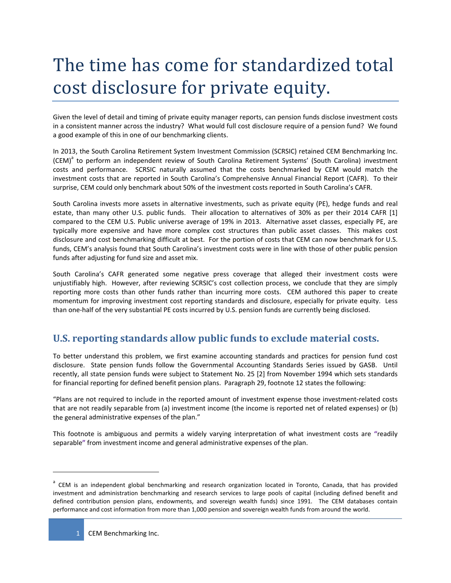# The time has come for standardized total cost disclosure for private equity.

Given the level of detail and timing of private equity manager reports, can pension funds disclose investment costs in a consistent manner across the industry? What would full cost disclosure require of a pension fund? We found a good example of this in one of our benchmarking clients.

In 2013, the South Carolina Retirement System Investment Commission (SCRSIC) retained CEM Benchmarking Inc. (CEM)<sup>a</sup> to perform an independent review of South Carolina Retirement Systems' (South Carolina) investment costs and performance. SCRSIC naturally assumed that the costs benchmarked by CEM would match the investment costs that are reported in South Carolina's Comprehensive Annual Financial Report (CAFR). To their surprise, CEM could only benchmark about 50% of the investment costs reported in South Carolina's CAFR.

South Carolina invests more assets in alternative investments, such as private equity (PE), hedge funds and real estate, than many other U.S. public funds. Their allocation to alternatives of 30% as per their 2014 CAFR [1] compared to the CEM U.S. Public universe average of 19% in 2013. Alternative asset classes, especially PE, are typically more expensive and have more complex cost structures than public asset classes. This makes cost disclosure and cost benchmarking difficult at best. For the portion of costs that CEM can now benchmark for U.S. funds, CEM's analysis found that South Carolina's investment costs were in line with those of other public pension funds after adjusting for fund size and asset mix.

South Carolina's CAFR generated some negative press coverage that alleged their investment costs were unjustifiably high. However, after reviewing SCRSIC's cost collection process, we conclude that they are simply reporting more costs than other funds rather than incurring more costs. CEM authored this paper to create momentum for improving investment cost reporting standards and disclosure, especially for private equity. Less than one‐half of the very substantial PE costs incurred by U.S. pension funds are currently being disclosed.

# **U.S. reporting standards allow public funds to exclude material costs.**

To better understand this problem, we first examine accounting standards and practices for pension fund cost disclosure. State pension funds follow the Governmental Accounting Standards Series issued by GASB. Until recently, all state pension funds were subject to Statement No. 25 [2] from November 1994 which sets standards for financial reporting for defined benefit pension plans. Paragraph 29, footnote 12 states the following:

"Plans are not required to include in the reported amount of investment expense those investment‐related costs that are not readily separable from (a) investment income (the income is reported net of related expenses) or (b) the general administrative expenses of the plan."

This footnote is ambiguous and permits a widely varying interpretation of what investment costs are **"**readily separable**"** from investment income and general administrative expenses of the plan.

<sup>&</sup>lt;sup>a</sup> CEM is an independent global benchmarking and research organization located in Toronto, Canada, that has provided investment and administration benchmarking and research services to large pools of capital (including defined benefit and defined contribution pension plans, endowments, and sovereign wealth funds) since 1991. The CEM databases contain performance and cost information from more than 1,000 pension and sovereign wealth funds from around the world.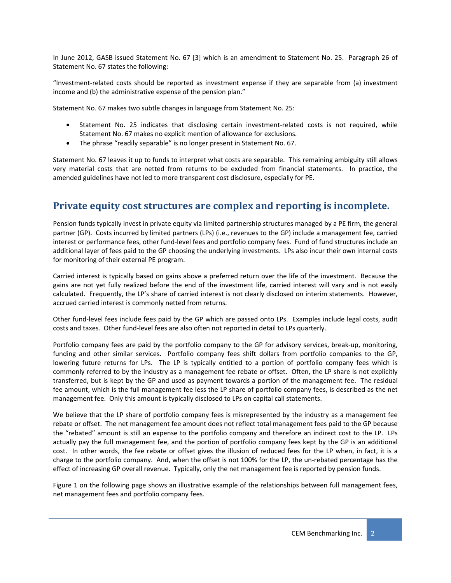In June 2012, GASB issued Statement No. 67 [3] which is an amendment to Statement No. 25. Paragraph 26 of Statement No. 67 states the following:

"Investment‐related costs should be reported as investment expense if they are separable from (a) investment income and (b) the administrative expense of the pension plan."

Statement No. 67 makes two subtle changes in language from Statement No. 25:

- Statement No. 25 indicates that disclosing certain investment-related costs is not required, while Statement No. 67 makes no explicit mention of allowance for exclusions.
- The phrase "readily separable" is no longer present in Statement No. 67.

Statement No. 67 leaves it up to funds to interpret what costs are separable. This remaining ambiguity still allows very material costs that are netted from returns to be excluded from financial statements. In practice, the amended guidelines have not led to more transparent cost disclosure, especially for PE.

## **Private equity cost structures are complex and reporting is incomplete.**

Pension funds typically invest in private equity via limited partnership structures managed by a PE firm, the general partner (GP). Costs incurred by limited partners (LPs) (i.e., revenues to the GP) include a management fee, carried interest or performance fees, other fund‐level fees and portfolio company fees. Fund of fund structures include an additional layer of fees paid to the GP choosing the underlying investments. LPs also incur their own internal costs for monitoring of their external PE program.

Carried interest is typically based on gains above a preferred return over the life of the investment. Because the gains are not yet fully realized before the end of the investment life, carried interest will vary and is not easily calculated. Frequently, the LP's share of carried interest is not clearly disclosed on interim statements. However, accrued carried interest is commonly netted from returns.

Other fund‐level fees include fees paid by the GP which are passed onto LPs. Examples include legal costs, audit costs and taxes. Other fund‐level fees are also often not reported in detail to LPs quarterly.

Portfolio company fees are paid by the portfolio company to the GP for advisory services, break‐up, monitoring, funding and other similar services. Portfolio company fees shift dollars from portfolio companies to the GP, lowering future returns for LPs. The LP is typically entitled to a portion of portfolio company fees which is commonly referred to by the industry as a management fee rebate or offset. Often, the LP share is not explicitly transferred, but is kept by the GP and used as payment towards a portion of the management fee. The residual fee amount, which is the full management fee less the LP share of portfolio company fees, is described as the net management fee. Only this amount is typically disclosed to LPs on capital call statements.

We believe that the LP share of portfolio company fees is misrepresented by the industry as a management fee rebate or offset. The net management fee amount does not reflect total management fees paid to the GP because the "rebated" amount is still an expense to the portfolio company and therefore an indirect cost to the LP. LPs actually pay the full management fee, and the portion of portfolio company fees kept by the GP is an additional cost. In other words, the fee rebate or offset gives the illusion of reduced fees for the LP when, in fact, it is a charge to the portfolio company. And, when the offset is not 100% for the LP, the un‐rebated percentage has the effect of increasing GP overall revenue. Typically, only the net management fee is reported by pension funds.

Figure 1 on the following page shows an illustrative example of the relationships between full management fees, net management fees and portfolio company fees.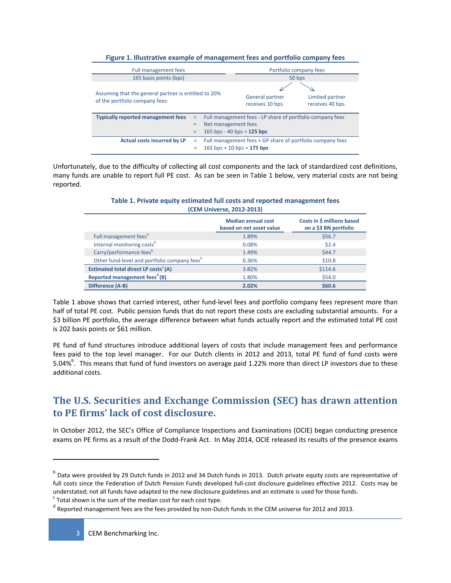| Full management fees                                                                   |  | Portfolio company fees                                                                    |                                     |  |
|----------------------------------------------------------------------------------------|--|-------------------------------------------------------------------------------------------|-------------------------------------|--|
| 165 basis points (bps)                                                                 |  | 50 bps                                                                                    |                                     |  |
| Assuming that the general partner is entitled to 20%<br>of the portfolio company fees: |  | General partner<br>receives 10 bps.                                                       | Limited partner<br>receives 40 bps. |  |
| <b>Typically reported management fees</b><br>Ξ                                         |  | Full management fees - LP share of portfolio company fees                                 |                                     |  |
| =                                                                                      |  | Net management fees                                                                       |                                     |  |
|                                                                                        |  | 165 bps - 40 bps = $125$ bps                                                              |                                     |  |
| <b>Actual costs incurred by LP</b><br>۰                                                |  | Full management fees + GP share of portfolio company fees<br>$165$ bps + 10 bps = 175 bps |                                     |  |

#### **Figure 1. Illustrative example of management fees and portfolio company fees**

Unfortunately, due to the difficulty of collecting all cost components and the lack of standardized cost definitions, many funds are unable to report full PE cost. As can be seen in Table 1 below, very material costs are not being reported.

| <b>ICEIVI UIIIVEISE, ZUIZ-ZUISI</b>                      |                                                       |                                                     |  |  |
|----------------------------------------------------------|-------------------------------------------------------|-----------------------------------------------------|--|--|
|                                                          | <b>Median annual cost</b><br>based on net asset value | Costs in \$ millions based<br>on a \$3 BN portfolio |  |  |
| Full management fees <sup>b</sup>                        | 1.89%                                                 | \$56.7                                              |  |  |
| Internal monitoring costs <sup>b</sup>                   | 0.08%                                                 | \$2.4                                               |  |  |
| Carry/performance feesb                                  | 1.49%                                                 | \$44.7                                              |  |  |
| Other fund-level and portfolio company fees <sup>b</sup> | 0.36%                                                 | \$10.8                                              |  |  |
| Estimated total direct LP costs <sup>c</sup> (A)         | 3.82%                                                 | \$114.6                                             |  |  |
| Reported management fees <sup>d</sup> (B)                | 1.80%                                                 | \$54.0                                              |  |  |
| Difference (A-B)                                         | 2.02%                                                 | \$60.6                                              |  |  |

#### **Table 1. Private equity estimated full costs and reported management fees (CEM Universe, 2012‐2013)**

Table 1 above shows that carried interest, other fund-level fees and portfolio company fees represent more than half of total PE cost. Public pension funds that do not report these costs are excluding substantial amounts. For a \$3 billion PE portfolio, the average difference between what funds actually report and the estimated total PE cost is 202 basis points or \$61 million.

PE fund of fund structures introduce additional layers of costs that include management fees and performance fees paid to the top level manager. For our Dutch clients in 2012 and 2013, total PE fund of fund costs were 5.04%<sup>b</sup>. This means that fund of fund investors on average paid 1.22% more than direct LP investors due to these additional costs.

# **The U.S. Securities and Exchange Commission (SEC) has drawn attention to PE firms' lack of cost disclosure.**

In October 2012, the SEC's Office of Compliance Inspections and Examinations (OCIE) began conducting presence exams on PE firms as a result of the Dodd‐Frank Act. In May 2014, OCIE released its results of the presence exams

<sup>&</sup>lt;sup>b</sup> Data were provided by 29 Dutch funds in 2012 and 34 Dutch funds in 2013. Dutch private equity costs are representative of full costs since the Federation of Dutch Pension Funds developed full-cost disclosure guidelines effective 2012. Costs may be understated; not all funds have adapted to the new disclosure guidelines and an estimate is used for those funds.<br><sup>c</sup> Total shown is the sum of the median cost for each cost type.

d Reported management fees are the fees provided by non-Dutch funds in the CEM universe for 2012 and 2013.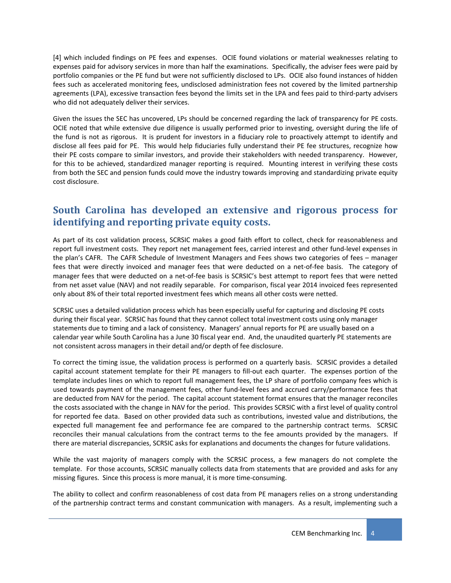[4] which included findings on PE fees and expenses. OCIE found violations or material weaknesses relating to expenses paid for advisory services in more than half the examinations. Specifically, the adviser fees were paid by portfolio companies or the PE fund but were not sufficiently disclosed to LPs. OCIE also found instances of hidden fees such as accelerated monitoring fees, undisclosed administration fees not covered by the limited partnership agreements (LPA), excessive transaction fees beyond the limits set in the LPA and fees paid to third-party advisers who did not adequately deliver their services.

Given the issues the SEC has uncovered, LPs should be concerned regarding the lack of transparency for PE costs. OCIE noted that while extensive due diligence is usually performed prior to investing, oversight during the life of the fund is not as rigorous. It is prudent for investors in a fiduciary role to proactively attempt to identify and disclose all fees paid for PE. This would help fiduciaries fully understand their PE fee structures, recognize how their PE costs compare to similar investors, and provide their stakeholders with needed transparency. However, for this to be achieved, standardized manager reporting is required. Mounting interest in verifying these costs from both the SEC and pension funds could move the industry towards improving and standardizing private equity cost disclosure.

## **South Carolina has developed an extensive and rigorous process for identifying and reporting private equity costs.**

As part of its cost validation process, SCRSIC makes a good faith effort to collect, check for reasonableness and report full investment costs. They report net management fees, carried interest and other fund‐level expenses in the plan's CAFR. The CAFR Schedule of Investment Managers and Fees shows two categories of fees – manager fees that were directly invoiced and manager fees that were deducted on a net-of-fee basis. The category of manager fees that were deducted on a net-of-fee basis is SCRSIC's best attempt to report fees that were netted from net asset value (NAV) and not readily separable. For comparison, fiscal year 2014 invoiced fees represented only about 8% of their total reported investment fees which means all other costs were netted.

SCRSIC uses a detailed validation process which has been especially useful for capturing and disclosing PE costs during their fiscal year. SCRSIC has found that they cannot collect total investment costs using only manager statements due to timing and a lack of consistency. Managers' annual reports for PE are usually based on a calendar year while South Carolina has a June 30 fiscal year end. And, the unaudited quarterly PE statements are not consistent across managers in their detail and/or depth of fee disclosure.

To correct the timing issue, the validation process is performed on a quarterly basis. SCRSIC provides a detailed capital account statement template for their PE managers to fill‐out each quarter. The expenses portion of the template includes lines on which to report full management fees, the LP share of portfolio company fees which is used towards payment of the management fees, other fund-level fees and accrued carry/performance fees that are deducted from NAV for the period. The capital account statement format ensures that the manager reconciles the costs associated with the change in NAV for the period. This provides SCRSIC with a first level of quality control for reported fee data. Based on other provided data such as contributions, invested value and distributions, the expected full management fee and performance fee are compared to the partnership contract terms. SCRSIC reconciles their manual calculations from the contract terms to the fee amounts provided by the managers. If there are material discrepancies, SCRSIC asks for explanations and documents the changes for future validations.

While the vast majority of managers comply with the SCRSIC process, a few managers do not complete the template. For those accounts, SCRSIC manually collects data from statements that are provided and asks for any missing figures. Since this process is more manual, it is more time‐consuming.

The ability to collect and confirm reasonableness of cost data from PE managers relies on a strong understanding of the partnership contract terms and constant communication with managers. As a result, implementing such a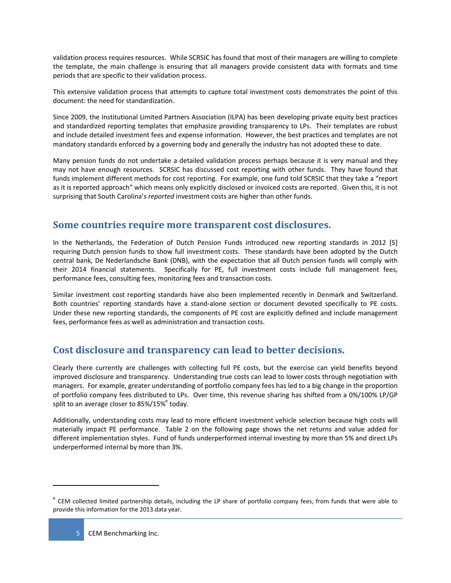validation process requires resources. While SCRSIC has found that most of their managers are willing to complete the template, the main challenge is ensuring that all managers provide consistent data with formats and time periods that are specific to their validation process.

This extensive validation process that attempts to capture total investment costs demonstrates the point of this document: the need for standardization.

Since 2009, the Institutional Limited Partners Association (ILPA) has been developing private equity best practices and standardized reporting templates that emphasize providing transparency to LPs. Their templates are robust and include detailed investment fees and expense information. However, the best practices and templates are not mandatory standards enforced by a governing body and generally the industry has not adopted these to date.

Many pension funds do not undertake a detailed validation process perhaps because it is very manual and they may not have enough resources. SCRSIC has discussed cost reporting with other funds. They have found that funds implement different methods for cost reporting. For example, one fund told SCRSIC that they take a "report as it is reported approach" which means only explicitly disclosed or invoiced costs are reported. Given this, it is not surprising that South Carolina's *reported* investment costs are higher than other funds.

## **Some countries require more transparent cost disclosures.**

In the Netherlands, the Federation of Dutch Pension Funds introduced new reporting standards in 2012 [5] requiring Dutch pension funds to show full investment costs. These standards have been adopted by the Dutch central bank, De Nederlandsche Bank (DNB), with the expectation that all Dutch pension funds will comply with their 2014 financial statements. Specifically for PE, full investment costs include full management fees, performance fees, consulting fees, monitoring fees and transaction costs.

Similar investment cost reporting standards have also been implemented recently in Denmark and Switzerland. Both countries' reporting standards have a stand‐alone section or document devoted specifically to PE costs. Under these new reporting standards, the components of PE cost are explicitly defined and include management fees, performance fees as well as administration and transaction costs.

## **Cost disclosure and transparency can lead to better decisions.**

Clearly there currently are challenges with collecting full PE costs, but the exercise can yield benefits beyond improved disclosure and transparency. Understanding true costs can lead to lower costs through negotiation with managers. For example, greater understanding of portfolio company fees has led to a big change in the proportion of portfolio company fees distributed to LPs. Over time, this revenue sharing has shifted from a 0%/100% LP/GP split to an average closer to  $85\%/15\%$  today.

Additionally, understanding costs may lead to more efficient investment vehicle selection because high costs will materially impact PE performance. Table 2 on the following page shows the net returns and value added for different implementation styles. Fund of funds underperformed internal investing by more than 5% and direct LPs underperformed internal by more than 3%.

<sup>&</sup>lt;sup>e</sup> CEM collected limited partnership details, including the LP share of portfolio company fees, from funds that were able to provide this information for the 2013 data year.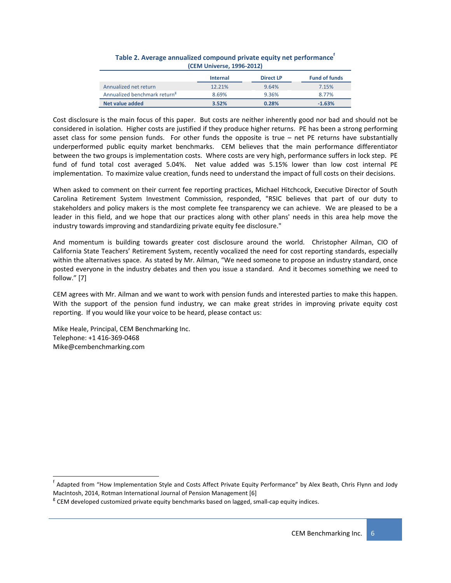|                                          | <b>Internal</b> | <b>Direct LP</b> | <b>Fund of funds</b> |
|------------------------------------------|-----------------|------------------|----------------------|
| Annualized net return                    | 12.21%          | 9.64%            | 7.15%                |
| Annualized benchmark return <sup>8</sup> | 8.69%           | 9.36%            | 8.77%                |
| Net value added                          | 3.52%           | 0.28%            | $-1.63%$             |

| Table 2. Average annualized compound private equity net performance |
|---------------------------------------------------------------------|
| (CEM Universe, 1996-2012)                                           |

Cost disclosure is the main focus of this paper. But costs are neither inherently good nor bad and should not be considered in isolation. Higher costs are justified if they produce higher returns. PE has been a strong performing asset class for some pension funds. For other funds the opposite is true  $-$  net PE returns have substantially underperformed public equity market benchmarks. CEM believes that the main performance differentiator between the two groups is implementation costs. Where costs are very high**,** performance suffers in lock step. PE fund of fund total cost averaged 5.04%. Net value added was 5.15% lower than low cost internal PE implementation. To maximize value creation, funds need to understand the impact of full costs on their decisions.

When asked to comment on their current fee reporting practices, Michael Hitchcock, Executive Director of South Carolina Retirement System Investment Commission, responded, "RSIC believes that part of our duty to stakeholders and policy makers is the most complete fee transparency we can achieve. We are pleased to be a leader in this field, and we hope that our practices along with other plans' needs in this area help move the industry towards improving and standardizing private equity fee disclosure."

And momentum is building towards greater cost disclosure around the world. Christopher Ailman, CIO of California State Teachers' Retirement System, recently vocalized the need for cost reporting standards, especially within the alternatives space. As stated by Mr. Ailman, "We need someone to propose an industry standard, once posted everyone in the industry debates and then you issue a standard. And it becomes something we need to follow." [7]

CEM agrees with Mr. Ailman and we want to work with pension funds and interested parties to make this happen. With the support of the pension fund industry, we can make great strides in improving private equity cost reporting. If you would like your voice to be heard, please contact us:

Mike Heale, Principal, CEM Benchmarking Inc. Telephone: +1 416‐369‐0468 Mike@cembenchmarking.com

 <sup>f</sup> Adapted from "How Implementation Style and Costs Affect Private Equity Performance" by Alex Beath, Chris Flynn and Jody MacIntosh, 2014, Rotman International Journal of Pension Management [6] **EXA GEM** developed customized private equity benchmarks based on lagged, small-cap equity indices.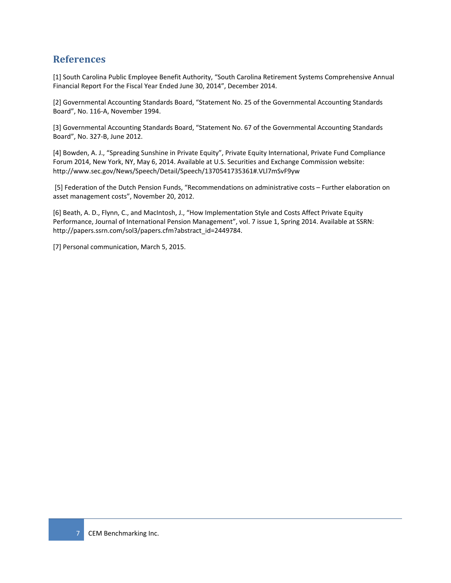## **References**

[1] South Carolina Public Employee Benefit Authority, "South Carolina Retirement Systems Comprehensive Annual Financial Report For the Fiscal Year Ended June 30, 2014", December 2014.

[2] Governmental Accounting Standards Board, "Statement No. 25 of the Governmental Accounting Standards Board", No. 116‐A, November 1994.

[3] Governmental Accounting Standards Board, "Statement No. 67 of the Governmental Accounting Standards Board", No. 327‐B, June 2012.

[4] Bowden, A. J., "Spreading Sunshine in Private Equity", Private Equity International, Private Fund Compliance Forum 2014, New York, NY, May 6, 2014. Available at U.S. Securities and Exchange Commission website: http://www.sec.gov/News/Speech/Detail/Speech/1370541735361#.VLl7mSvF9yw

[5] Federation of the Dutch Pension Funds, "Recommendations on administrative costs – Further elaboration on asset management costs", November 20, 2012.

[6] Beath, A. D., Flynn, C., and MacIntosh, J., "How Implementation Style and Costs Affect Private Equity Performance, Journal of International Pension Management", vol. 7 issue 1, Spring 2014. Available at SSRN: http://papers.ssrn.com/sol3/papers.cfm?abstract\_id=2449784.

[7] Personal communication, March 5, 2015.